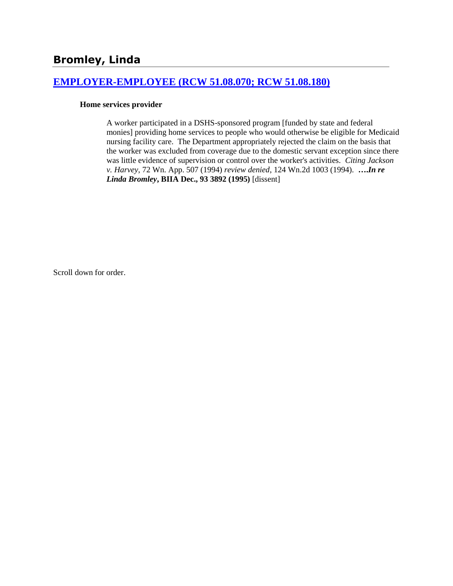# **Bromley, Linda**

# **[EMPLOYER-EMPLOYEE \(RCW 51.08.070; RCW 51.08.180\)](http://www.biia.wa.gov/SDSubjectIndex.html#EMPLOYER_EMPLOYEE)**

#### **Home services provider**

A worker participated in a DSHS-sponsored program [funded by state and federal monies] providing home services to people who would otherwise be eligible for Medicaid nursing facility care. The Department appropriately rejected the claim on the basis that the worker was excluded from coverage due to the domestic servant exception since there was little evidence of supervision or control over the worker's activities*. Citing Jackson v. Harvey*, 72 Wn. App. 507 (1994) *review denied*, 124 Wn.2d 1003 (1994). **….***In re Linda Bromley***, BIIA Dec., 93 3892 (1995)** [dissent]

Scroll down for order.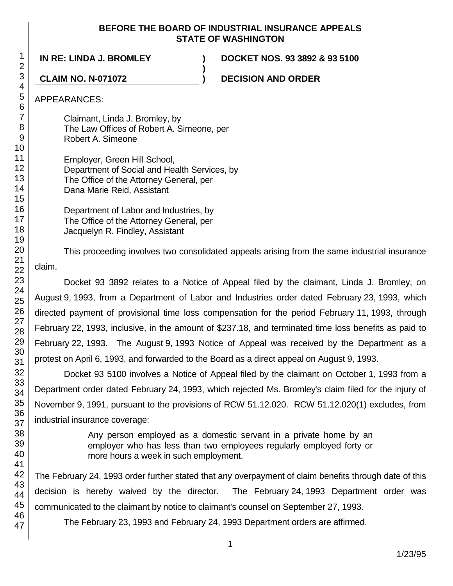## **BEFORE THE BOARD OF INDUSTRIAL INSURANCE APPEALS STATE OF WASHINGTON**

**)**

**IN RE: LINDA J. BROMLEY ) DOCKET NOS. 93 3892 & 93 5100**

**CLAIM NO. N-071072 ) DECISION AND ORDER**

APPEARANCES:

Claimant, Linda J. Bromley, by The Law Offices of Robert A. Simeone, per Robert A. Simeone

Employer, Green Hill School, Department of Social and Health Services, by The Office of the Attorney General, per Dana Marie Reid, Assistant

Department of Labor and Industries, by The Office of the Attorney General, per Jacquelyn R. Findley, Assistant

This proceeding involves two consolidated appeals arising from the same industrial insurance claim.

Docket 93 3892 relates to a Notice of Appeal filed by the claimant, Linda J. Bromley, on August 9, 1993, from a Department of Labor and Industries order dated February 23, 1993, which directed payment of provisional time loss compensation for the period February 11, 1993, through February 22, 1993, inclusive, in the amount of \$237.18, and terminated time loss benefits as paid to February 22, 1993. The August 9, 1993 Notice of Appeal was received by the Department as a protest on April 6, 1993, and forwarded to the Board as a direct appeal on August 9, 1993.

Docket 93 5100 involves a Notice of Appeal filed by the claimant on October 1, 1993 from a Department order dated February 24, 1993, which rejected Ms. Bromley's claim filed for the injury of November 9, 1991, pursuant to the provisions of RCW 51.12.020. RCW 51.12.020(1) excludes, from industrial insurance coverage:

> Any person employed as a domestic servant in a private home by an employer who has less than two employees regularly employed forty or more hours a week in such employment.

The February 24, 1993 order further stated that any overpayment of claim benefits through date of this decision is hereby waived by the director. The February 24, 1993 Department order was communicated to the claimant by notice to claimant's counsel on September 27, 1993.

The February 23, 1993 and February 24, 1993 Department orders are affirmed.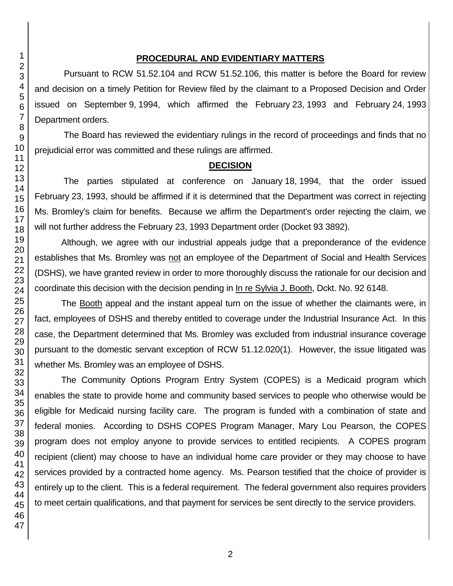# **PROCEDURAL AND EVIDENTIARY MATTERS**

Pursuant to RCW 51.52.104 and RCW 51.52.106, this matter is before the Board for review and decision on a timely Petition for Review filed by the claimant to a Proposed Decision and Order issued on September 9, 1994, which affirmed the February 23, 1993 and February 24, 1993 Department orders.

The Board has reviewed the evidentiary rulings in the record of proceedings and finds that no prejudicial error was committed and these rulings are affirmed.

### **DECISION**

The parties stipulated at conference on January 18, 1994, that the order issued February 23, 1993, should be affirmed if it is determined that the Department was correct in rejecting Ms. Bromley's claim for benefits. Because we affirm the Department's order rejecting the claim, we will not further address the February 23, 1993 Department order (Docket 93 3892).

Although, we agree with our industrial appeals judge that a preponderance of the evidence establishes that Ms. Bromley was not an employee of the Department of Social and Health Services (DSHS), we have granted review in order to more thoroughly discuss the rationale for our decision and coordinate this decision with the decision pending in In re Sylvia J. Booth, Dckt. No. 92 6148.

The Booth appeal and the instant appeal turn on the issue of whether the claimants were, in fact, employees of DSHS and thereby entitled to coverage under the Industrial Insurance Act. In this case, the Department determined that Ms. Bromley was excluded from industrial insurance coverage pursuant to the domestic servant exception of RCW 51.12.020(1). However, the issue litigated was whether Ms. Bromley was an employee of DSHS.

The Community Options Program Entry System (COPES) is a Medicaid program which enables the state to provide home and community based services to people who otherwise would be eligible for Medicaid nursing facility care. The program is funded with a combination of state and federal monies. According to DSHS COPES Program Manager, Mary Lou Pearson, the COPES program does not employ anyone to provide services to entitled recipients. A COPES program recipient (client) may choose to have an individual home care provider or they may choose to have services provided by a contracted home agency. Ms. Pearson testified that the choice of provider is entirely up to the client. This is a federal requirement. The federal government also requires providers to meet certain qualifications, and that payment for services be sent directly to the service providers.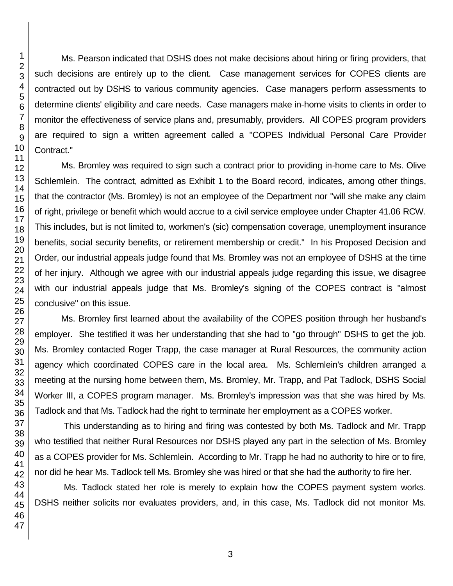Ms. Pearson indicated that DSHS does not make decisions about hiring or firing providers, that such decisions are entirely up to the client. Case management services for COPES clients are contracted out by DSHS to various community agencies. Case managers perform assessments to determine clients' eligibility and care needs. Case managers make in-home visits to clients in order to monitor the effectiveness of service plans and, presumably, providers. All COPES program providers are required to sign a written agreement called a "COPES Individual Personal Care Provider Contract."

Ms. Bromley was required to sign such a contract prior to providing in-home care to Ms. Olive Schlemlein. The contract, admitted as Exhibit 1 to the Board record, indicates, among other things, that the contractor (Ms. Bromley) is not an employee of the Department nor "will she make any claim of right, privilege or benefit which would accrue to a civil service employee under Chapter 41.06 RCW. This includes, but is not limited to, workmen's (sic) compensation coverage, unemployment insurance benefits, social security benefits, or retirement membership or credit." In his Proposed Decision and Order, our industrial appeals judge found that Ms. Bromley was not an employee of DSHS at the time of her injury. Although we agree with our industrial appeals judge regarding this issue, we disagree with our industrial appeals judge that Ms. Bromley's signing of the COPES contract is "almost conclusive" on this issue.

Ms. Bromley first learned about the availability of the COPES position through her husband's employer. She testified it was her understanding that she had to "go through" DSHS to get the job. Ms. Bromley contacted Roger Trapp, the case manager at Rural Resources, the community action agency which coordinated COPES care in the local area. Ms. Schlemlein's children arranged a meeting at the nursing home between them, Ms. Bromley, Mr. Trapp, and Pat Tadlock, DSHS Social Worker III, a COPES program manager. Ms. Bromley's impression was that she was hired by Ms. Tadlock and that Ms. Tadlock had the right to terminate her employment as a COPES worker.

This understanding as to hiring and firing was contested by both Ms. Tadlock and Mr. Trapp who testified that neither Rural Resources nor DSHS played any part in the selection of Ms. Bromley as a COPES provider for Ms. Schlemlein. According to Mr. Trapp he had no authority to hire or to fire, nor did he hear Ms. Tadlock tell Ms. Bromley she was hired or that she had the authority to fire her.

Ms. Tadlock stated her role is merely to explain how the COPES payment system works. DSHS neither solicits nor evaluates providers, and, in this case, Ms. Tadlock did not monitor Ms.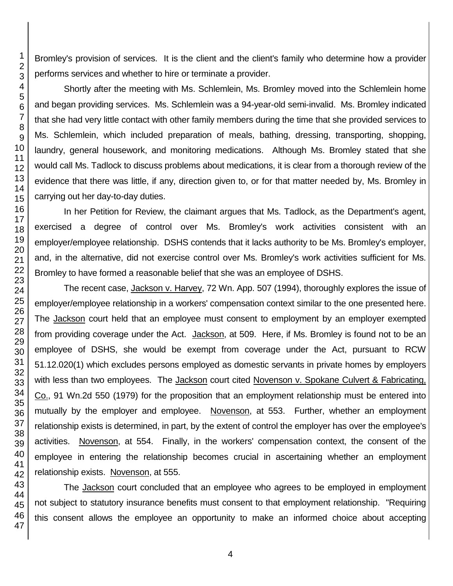Bromley's provision of services. It is the client and the client's family who determine how a provider performs services and whether to hire or terminate a provider.

Shortly after the meeting with Ms. Schlemlein, Ms. Bromley moved into the Schlemlein home and began providing services. Ms. Schlemlein was a 94-year-old semi-invalid. Ms. Bromley indicated that she had very little contact with other family members during the time that she provided services to Ms. Schlemlein, which included preparation of meals, bathing, dressing, transporting, shopping, laundry, general housework, and monitoring medications. Although Ms. Bromley stated that she would call Ms. Tadlock to discuss problems about medications, it is clear from a thorough review of the evidence that there was little, if any, direction given to, or for that matter needed by, Ms. Bromley in carrying out her day-to-day duties.

In her Petition for Review, the claimant argues that Ms. Tadlock, as the Department's agent, exercised a degree of control over Ms. Bromley's work activities consistent with an employer/employee relationship. DSHS contends that it lacks authority to be Ms. Bromley's employer, and, in the alternative, did not exercise control over Ms. Bromley's work activities sufficient for Ms. Bromley to have formed a reasonable belief that she was an employee of DSHS.

The recent case, Jackson v. Harvey, 72 Wn. App. 507 (1994), thoroughly explores the issue of employer/employee relationship in a workers' compensation context similar to the one presented here. The Jackson court held that an employee must consent to employment by an employer exempted from providing coverage under the Act. Jackson, at 509. Here, if Ms. Bromley is found not to be an employee of DSHS, she would be exempt from coverage under the Act, pursuant to RCW 51.12.020(1) which excludes persons employed as domestic servants in private homes by employers with less than two employees. The Jackson court cited Novenson v. Spokane Culvert & Fabricating, Co., 91 Wn.2d 550 (1979) for the proposition that an employment relationship must be entered into mutually by the employer and employee. Novenson, at 553. Further, whether an employment relationship exists is determined, in part, by the extent of control the employer has over the employee's activities. Novenson, at 554. Finally, in the workers' compensation context, the consent of the employee in entering the relationship becomes crucial in ascertaining whether an employment relationship exists. Novenson, at 555.

The Jackson court concluded that an employee who agrees to be employed in employment not subject to statutory insurance benefits must consent to that employment relationship. "Requiring this consent allows the employee an opportunity to make an informed choice about accepting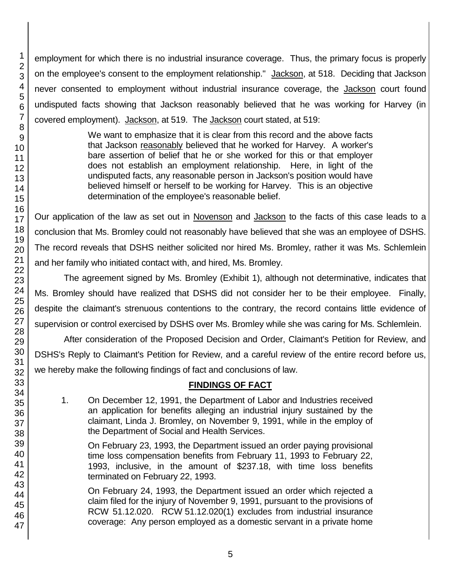employment for which there is no industrial insurance coverage. Thus, the primary focus is properly on the employee's consent to the employment relationship." Jackson, at 518. Deciding that Jackson never consented to employment without industrial insurance coverage, the **Jackson** court found undisputed facts showing that Jackson reasonably believed that he was working for Harvey (in covered employment). Jackson, at 519. The Jackson court stated, at 519:

> We want to emphasize that it is clear from this record and the above facts that Jackson reasonably believed that he worked for Harvey. A worker's bare assertion of belief that he or she worked for this or that employer does not establish an employment relationship. Here, in light of the undisputed facts, any reasonable person in Jackson's position would have believed himself or herself to be working for Harvey. This is an objective determination of the employee's reasonable belief.

Our application of the law as set out in Novenson and Jackson to the facts of this case leads to a conclusion that Ms. Bromley could not reasonably have believed that she was an employee of DSHS. The record reveals that DSHS neither solicited nor hired Ms. Bromley, rather it was Ms. Schlemlein and her family who initiated contact with, and hired, Ms. Bromley.

The agreement signed by Ms. Bromley (Exhibit 1), although not determinative, indicates that Ms. Bromley should have realized that DSHS did not consider her to be their employee. Finally, despite the claimant's strenuous contentions to the contrary, the record contains little evidence of supervision or control exercised by DSHS over Ms. Bromley while she was caring for Ms. Schlemlein.

After consideration of the Proposed Decision and Order, Claimant's Petition for Review, and DSHS's Reply to Claimant's Petition for Review, and a careful review of the entire record before us, we hereby make the following findings of fact and conclusions of law.

# **FINDINGS OF FACT**

1. On December 12, 1991, the Department of Labor and Industries received an application for benefits alleging an industrial injury sustained by the claimant, Linda J. Bromley, on November 9, 1991, while in the employ of the Department of Social and Health Services.

On February 23, 1993, the Department issued an order paying provisional time loss compensation benefits from February 11, 1993 to February 22, 1993, inclusive, in the amount of \$237.18, with time loss benefits terminated on February 22, 1993.

On February 24, 1993, the Department issued an order which rejected a claim filed for the injury of November 9, 1991, pursuant to the provisions of RCW 51.12.020. RCW 51.12.020(1) excludes from industrial insurance coverage: Any person employed as a domestic servant in a private home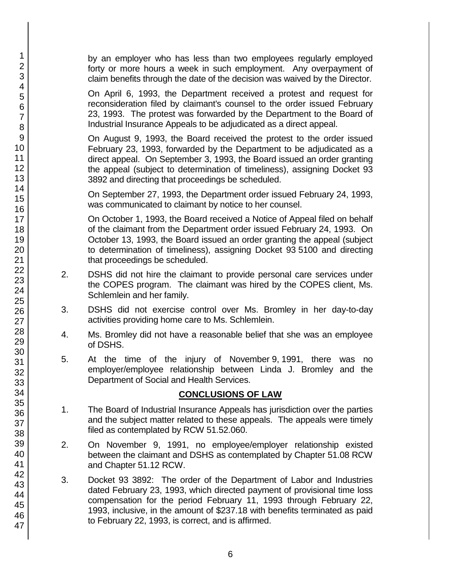by an employer who has less than two employees regularly employed forty or more hours a week in such employment. Any overpayment of claim benefits through the date of the decision was waived by the Director.

On April 6, 1993, the Department received a protest and request for reconsideration filed by claimant's counsel to the order issued February 23, 1993. The protest was forwarded by the Department to the Board of Industrial Insurance Appeals to be adjudicated as a direct appeal.

On August 9, 1993, the Board received the protest to the order issued February 23, 1993, forwarded by the Department to be adjudicated as a direct appeal. On September 3, 1993, the Board issued an order granting the appeal (subject to determination of timeliness), assigning Docket 93 3892 and directing that proceedings be scheduled.

On September 27, 1993, the Department order issued February 24, 1993, was communicated to claimant by notice to her counsel.

On October 1, 1993, the Board received a Notice of Appeal filed on behalf of the claimant from the Department order issued February 24, 1993. On October 13, 1993, the Board issued an order granting the appeal (subject to determination of timeliness), assigning Docket 93 5100 and directing that proceedings be scheduled.

- 2. DSHS did not hire the claimant to provide personal care services under the COPES program. The claimant was hired by the COPES client, Ms. Schlemlein and her family.
- 3. DSHS did not exercise control over Ms. Bromley in her day-to-day activities providing home care to Ms. Schlemlein.
- 4. Ms. Bromley did not have a reasonable belief that she was an employee of DSHS.
- 5. At the time of the injury of November 9, 1991, there was no employer/employee relationship between Linda J. Bromley and the Department of Social and Health Services.

# **CONCLUSIONS OF LAW**

- 1. The Board of Industrial Insurance Appeals has jurisdiction over the parties and the subject matter related to these appeals. The appeals were timely filed as contemplated by RCW 51.52.060.
- 2. On November 9, 1991, no employee/employer relationship existed between the claimant and DSHS as contemplated by Chapter 51.08 RCW and Chapter 51.12 RCW.
- 3. Docket 93 3892: The order of the Department of Labor and Industries dated February 23, 1993, which directed payment of provisional time loss compensation for the period February 11, 1993 through February 22, 1993, inclusive, in the amount of \$237.18 with benefits terminated as paid to February 22, 1993, is correct, and is affirmed.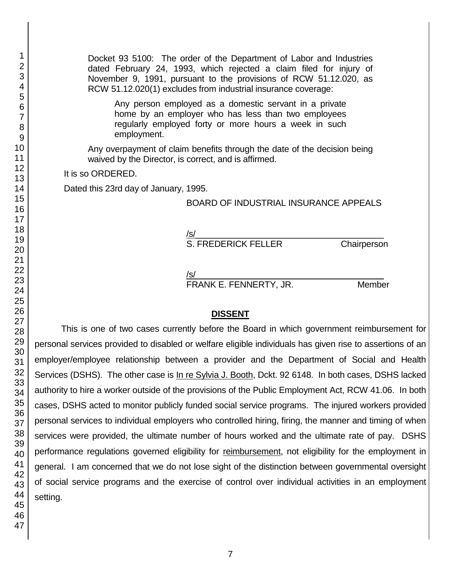Docket 93 5100: The order of the Department of Labor and Industries dated February 24, 1993, which rejected a claim filed for injury of November 9, 1991, pursuant to the provisions of RCW 51.12.020, as RCW 51.12.020(1) excludes from industrial insurance coverage:

Any person employed as a domestic servant in a private home by an employer who has less than two employees regularly employed forty or more hours a week in such employment.

Any overpayment of claim benefits through the date of the decision being waived by the Director, is correct, and is affirmed.

It is so ORDERED.

Dated this 23rd day of January, 1995.

#### BOARD OF INDUSTRIAL INSURANCE APPEALS

/s/  $\,$ 

S. FREDERICK FELLER Chairperson

/s/  $\,$ 

FRANK E. FENNERTY, JR. Member

#### **DISSENT**

This is one of two cases currently before the Board in which government reimbursement for personal services provided to disabled or welfare eligible individuals has given rise to assertions of an employer/employee relationship between a provider and the Department of Social and Health Services (DSHS). The other case is In re Sylvia J. Booth, Dckt. 92 6148. In both cases, DSHS lacked authority to hire a worker outside of the provisions of the Public Employment Act, RCW 41.06. In both cases, DSHS acted to monitor publicly funded social service programs. The injured workers provided personal services to individual employers who controlled hiring, firing, the manner and timing of when services were provided, the ultimate number of hours worked and the ultimate rate of pay. DSHS performance regulations governed eligibility for reimbursement, not eligibility for the employment in general. I am concerned that we do not lose sight of the distinction between governmental oversight of social service programs and the exercise of control over individual activities in an employment setting.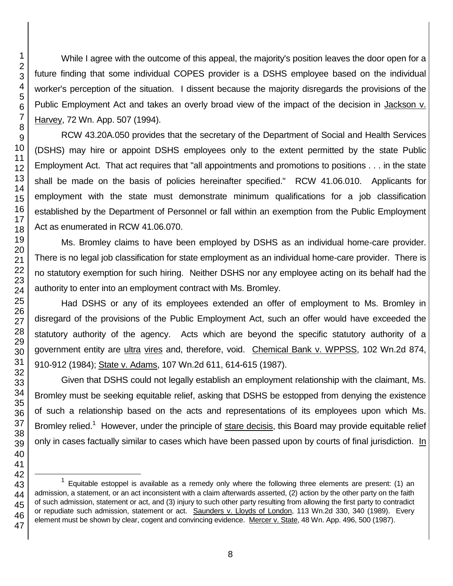While I agree with the outcome of this appeal, the majority's position leaves the door open for a future finding that some individual COPES provider is a DSHS employee based on the individual worker's perception of the situation. I dissent because the majority disregards the provisions of the Public Employment Act and takes an overly broad view of the impact of the decision in Jackson v. Harvey, 72 Wn. App. 507 (1994).

RCW 43.20A.050 provides that the secretary of the Department of Social and Health Services (DSHS) may hire or appoint DSHS employees only to the extent permitted by the state Public Employment Act. That act requires that "all appointments and promotions to positions . . . in the state shall be made on the basis of policies hereinafter specified." RCW 41.06.010. Applicants for employment with the state must demonstrate minimum qualifications for a job classification established by the Department of Personnel or fall within an exemption from the Public Employment Act as enumerated in RCW 41.06.070.

Ms. Bromley claims to have been employed by DSHS as an individual home-care provider. There is no legal job classification for state employment as an individual home-care provider. There is no statutory exemption for such hiring. Neither DSHS nor any employee acting on its behalf had the authority to enter into an employment contract with Ms. Bromley.

Had DSHS or any of its employees extended an offer of employment to Ms. Bromley in disregard of the provisions of the Public Employment Act, such an offer would have exceeded the statutory authority of the agency. Acts which are beyond the specific statutory authority of a government entity are ultra vires and, therefore, void. Chemical Bank v. WPPSS, 102 Wn.2d 874, 910-912 (1984); State v. Adams, 107 Wn.2d 611, 614-615 (1987).

Given that DSHS could not legally establish an employment relationship with the claimant, Ms. Bromley must be seeking equitable relief, asking that DSHS be estopped from denying the existence of such a relationship based on the acts and representations of its employees upon which Ms. Bromley relied.<sup>1</sup> However, under the principle of stare decisis, this Board may provide equitable relief only in cases factually similar to cases which have been passed upon by courts of final jurisdiction. In

l

 Equitable estoppel is available as a remedy only where the following three elements are present: (1) an admission, a statement, or an act inconsistent with a claim afterwards asserted, (2) action by the other party on the faith of such admission, statement or act, and (3) injury to such other party resulting from allowing the first party to contradict or repudiate such admission, statement or act. Saunders v. Lloyds of London, 113 Wn.2d 330, 340 (1989). Every element must be shown by clear, cogent and convincing evidence. Mercer v. State, 48 Wn. App. 496, 500 (1987).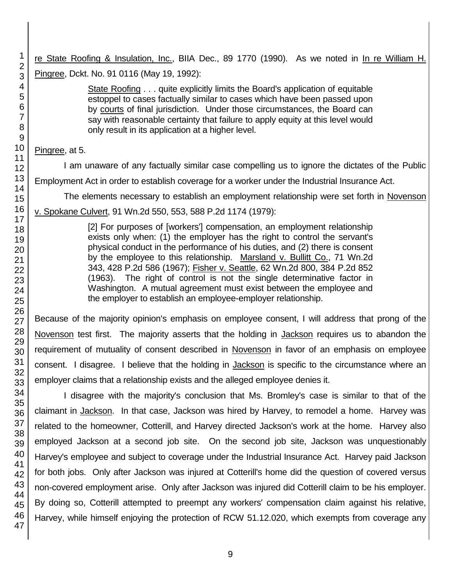re State Roofing & Insulation, Inc., BIIA Dec., 89 1770 (1990). As we noted in In re William H. Pingree, Dckt. No. 91 0116 (May 19, 1992):

> State Roofing . . . quite explicitly limits the Board's application of equitable estoppel to cases factually similar to cases which have been passed upon by courts of final jurisdiction. Under those circumstances, the Board can say with reasonable certainty that failure to apply equity at this level would only result in its application at a higher level.

# Pingree, at 5.

I am unaware of any factually similar case compelling us to ignore the dictates of the Public Employment Act in order to establish coverage for a worker under the Industrial Insurance Act.

The elements necessary to establish an employment relationship were set forth in Novenson

v. Spokane Culvert, 91 Wn.2d 550, 553, 588 P.2d 1174 (1979):

[2] For purposes of [workers'] compensation, an employment relationship exists only when: (1) the employer has the right to control the servant's physical conduct in the performance of his duties, and (2) there is consent by the employee to this relationship. Marsland v. Bullitt Co., 71 Wn.2d 343, 428 P.2d 586 (1967); Fisher v. Seattle, 62 Wn.2d 800, 384 P.2d 852 (1963). The right of control is not the single determinative factor in Washington. A mutual agreement must exist between the employee and the employer to establish an employee-employer relationship.

Because of the majority opinion's emphasis on employee consent, I will address that prong of the Novenson test first. The majority asserts that the holding in Jackson requires us to abandon the requirement of mutuality of consent described in Novenson in favor of an emphasis on employee consent. I disagree. I believe that the holding in **Jackson** is specific to the circumstance where an employer claims that a relationship exists and the alleged employee denies it.

I disagree with the majority's conclusion that Ms. Bromley's case is similar to that of the claimant in Jackson. In that case, Jackson was hired by Harvey, to remodel a home. Harvey was related to the homeowner, Cotterill, and Harvey directed Jackson's work at the home. Harvey also employed Jackson at a second job site. On the second job site, Jackson was unquestionably Harvey's employee and subject to coverage under the Industrial Insurance Act. Harvey paid Jackson for both jobs. Only after Jackson was injured at Cotterill's home did the question of covered versus non-covered employment arise. Only after Jackson was injured did Cotterill claim to be his employer. By doing so, Cotterill attempted to preempt any workers' compensation claim against his relative, Harvey, while himself enjoying the protection of RCW 51.12.020, which exempts from coverage any

1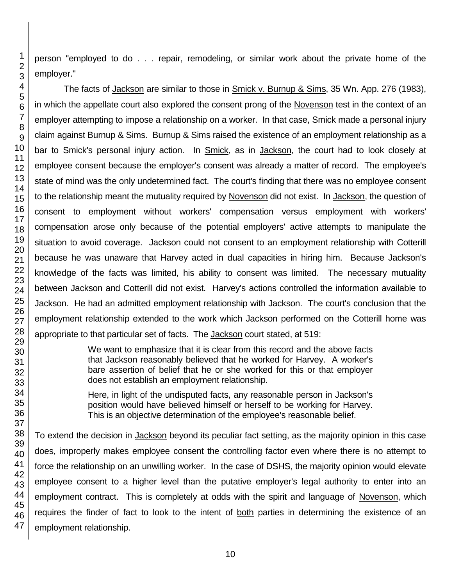person "employed to do . . . repair, remodeling, or similar work about the private home of the employer."

The facts of Jackson are similar to those in Smick v. Burnup & Sims, 35 Wn. App. 276 (1983), in which the appellate court also explored the consent prong of the Novenson test in the context of an employer attempting to impose a relationship on a worker. In that case, Smick made a personal injury claim against Burnup & Sims. Burnup & Sims raised the existence of an employment relationship as a bar to Smick's personal injury action. In Smick, as in Jackson, the court had to look closely at employee consent because the employer's consent was already a matter of record. The employee's state of mind was the only undetermined fact. The court's finding that there was no employee consent to the relationship meant the mutuality required by Novenson did not exist. In Jackson, the question of consent to employment without workers' compensation versus employment with workers' compensation arose only because of the potential employers' active attempts to manipulate the situation to avoid coverage. Jackson could not consent to an employment relationship with Cotterill because he was unaware that Harvey acted in dual capacities in hiring him. Because Jackson's knowledge of the facts was limited, his ability to consent was limited. The necessary mutuality between Jackson and Cotterill did not exist. Harvey's actions controlled the information available to Jackson. He had an admitted employment relationship with Jackson. The court's conclusion that the employment relationship extended to the work which Jackson performed on the Cotterill home was appropriate to that particular set of facts. The Jackson court stated, at 519:

> We want to emphasize that it is clear from this record and the above facts that Jackson reasonably believed that he worked for Harvey. A worker's bare assertion of belief that he or she worked for this or that employer does not establish an employment relationship.

> Here, in light of the undisputed facts, any reasonable person in Jackson's position would have believed himself or herself to be working for Harvey. This is an objective determination of the employee's reasonable belief.

To extend the decision in Jackson beyond its peculiar fact setting, as the majority opinion in this case does, improperly makes employee consent the controlling factor even where there is no attempt to force the relationship on an unwilling worker. In the case of DSHS, the majority opinion would elevate employee consent to a higher level than the putative employer's legal authority to enter into an employment contract. This is completely at odds with the spirit and language of Novenson, which requires the finder of fact to look to the intent of both parties in determining the existence of an employment relationship.